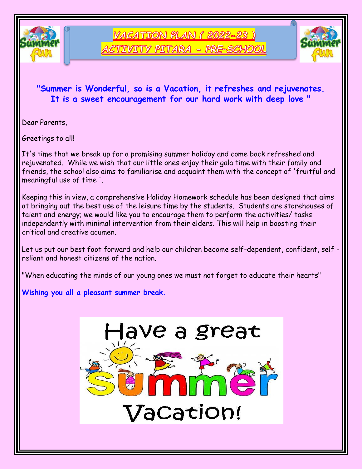

**VACATION PLAN (2022-23)** ACTIVITY PITARA - PRE-SCHOOL



## **"Summer is Wonderful, so is a Vacation, it refreshes and rejuvenates. It is a sweet encouragement for our hard work with deep love "**

Dear Parents,

Greetings to all!

It's time that we break up for a promising summer holiday and come back refreshed and rejuvenated. While we wish that our little ones enjoy their gala time with their family and friends, the school also aims to familiarise and acquaint them with the concept of 'fruitful and meaningful use of time '.

Keeping this in view, a comprehensive Holiday Homework schedule has been designed that aims at bringing out the best use of the leisure time by the students. Students are storehouses of talent and energy; we would like you to encourage them to perform the activities/ tasks independently with minimal intervention from their elders. This will help in boosting their critical and creative acumen.

Let us put our best foot forward and help our children become self-dependent, confident, self reliant and honest citizens of the nation.

"When educating the minds of our young ones we must not forget to educate their hearts"

**Wishing you all a pleasant summer break.**

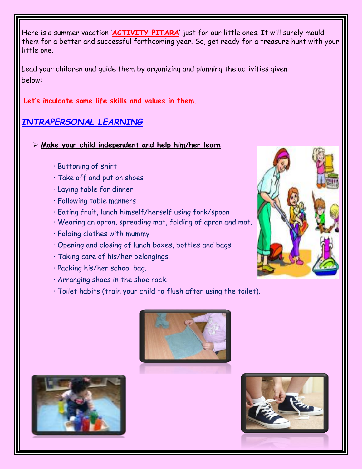Here is a summer vacation '**ACTIVITY PITARA'** just for our little ones. It will surely mould them for a better and successful forthcoming year. So, get ready for a treasure hunt with your little one.

Lead your children and guide them by organizing and planning the activities given below:

**Let's inculcate some life skills and values in them.** 

# *INTRAPERSONAL LEARNING*

### ⮚ **Make your child independent and help him/her learn**

- ∙ Buttoning of shirt
- ∙ Take off and put on shoes
- ∙ Laying table for dinner
- ∙ Following table manners
- ∙ Eating fruit, lunch himself/herself using fork/spoon
- ∙ Wearing an apron, spreading mat, folding of apron and mat.
- ∙ Folding clothes with mummy
- ∙ Opening and closing of lunch boxes, bottles and bags.
- ∙ Taking care of his/her belongings.
- ∙ Packing his/her school bag.
- ∙ Arranging shoes in the shoe rack.
- ∙ Toilet habits (train your child to flush after using the toilet).







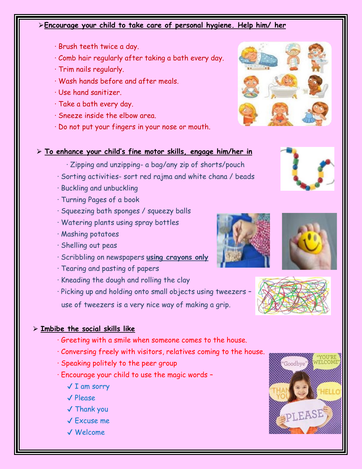## ⮚**Encourage your child to take care of personal hygiene. Help him/ her**

- ∙ Brush teeth twice a day.
- ∙ Comb hair regularly after taking a bath every day.
- ∙ Trim nails regularly.
- ∙ Wash hands before and after meals.
- ∙ Use hand sanitizer.
- ∙ Take a bath every day.
- ∙ Sneeze inside the elbow area.
- ∙ Do not put your fingers in your nose or mouth.

### ⮚ **To enhance your child's fine motor skills, engage him/her in**

- ∙ Zipping and unzipping- a bag/any zip of shorts/pouch
- ∙ Sorting activities- sort red rajma and white chana / beads
- ∙ Buckling and unbuckling
- ∙ Turning Pages of a book
- ∙ Squeezing bath sponges / squeezy balls
- ∙ Watering plants using spray bottles
- ∙ Mashing potatoes
- ∙ Shelling out peas
- ∙ Scribbling on newspapers **using crayons only**
- ∙ Tearing and pasting of papers
- ∙ Kneading the dough and rolling the clay
- ∙ Picking up and holding onto small objects using tweezers –
- use of tweezers is a very nice way of making a grip.

## ⮚ **Imbibe the social skills like**

- ∙ Greeting with a smile when someone comes to the house.
- ∙ Conversing freely with visitors, relatives coming to the house.
- ∙ Speaking politely to the peer group
- ∙ Encourage your child to use the magic words
	- ✔ I am sorry
	- ✔ Please
	- ✔ Thank you
	- ✔ Excuse me
	- ✔ Welcome

















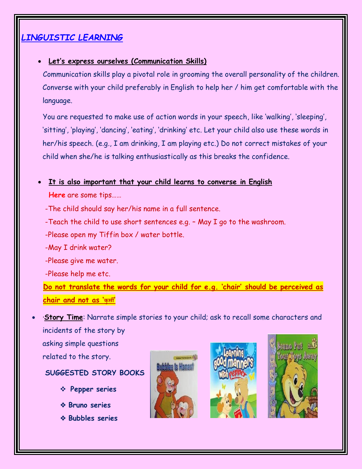## *LINGUISTIC LEARNING*

### • **Let's express ourselves (Communication Skills)**

Communication skills play a pivotal role in grooming the overall personality of the children. Converse with your child preferably in English to help her / him get comfortable with the language.

You are requested to make use of action words in your speech, like 'walking', 'sleeping', 'sitting', 'playing', 'dancing', 'eating', 'drinking' etc. Let your child also use these words in her/his speech. (e.g., I am drinking, I am playing etc.) Do not correct mistakes of your child when she/he is talking enthusiastically as this breaks the confidence.

### • **It is also important that your child learns to converse in English**

**Here** are some tips……

-The child should say her/his name in a full sentence.

-Teach the child to use short sentences e.g. – May I go to the washroom.

-Please open my Tiffin box / water bottle.

-May I drink water?

-Please give me water.

-Please help me etc.

**Do not translate the words for your child for e.g. 'chair' should be perceived as chair and not as 'कुर्सी'**

• ∙**Story Time**: Narrate simple stories to your child; ask to recall some characters and incidents of the story by

asking simple questions related to the story.

**SUGGESTED STORY BOOKS**

- ❖ **Pepper series**
- ❖ **Bruno series**
- ❖ **Bubbles series**





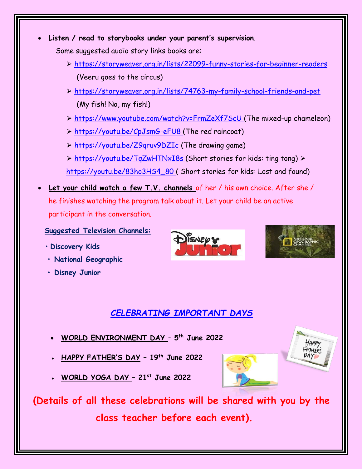- **Listen / read to storybooks under your parent's supervision**. Some suggested audio story links books are:
	- ⮚ https://storyweaver.org.in/lists/22099-funny-stories-for-beginner-readers (Veeru goes to the circus)
	- ⮚ https://storyweaver.org.in/lists/74763-my-family-school-friends-and-pet (My fish! No, my fish!)
	- ⮚ https://www.youtube.com/watch?v=FrmZeXf7ScU (The mixed-up chameleon)
	- ⮚ https://youtu.be/CpJsmG-eFU8 (The red raincoat)
	- > https://youtu.be/Z9gruv9DZIc (The drawing game)
	- > https://youtu.be/TqZwHTNxI8s (Short stories for kids: ting tong) > https://youtu.be/83ho3HS4\_80 ( Short stories for kids: Lost and found)
- **Let your child watch a few T.V. channels** of her / his own choice. After she / he finishes watching the program talk about it. Let your child be an active participant in the conversation.

## **Suggested Television Channels:**

- **Discovery Kids**
- **National Geographic**
- **Disney Junior**





Happy

# *CELEBRATING IMPORTANT DAYS*

- **WORLD ENVIRONMENT DAY – 5 th June 2022**
- **HAPPY FATHER'S DAY – 19th June 2022**
- **WORLD YOGA DAY – 21st June 2022**



**(Details of all these celebrations will be shared with you by the class teacher before each event).**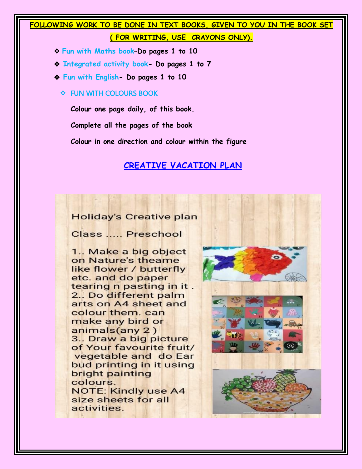## **FOLLOWING WORK TO BE DONE IN TEXT BOOKS, GIVEN TO YOU IN THE BOOK SET ( FOR WRITING, USE CRAYONS ONLY).**

- ❖ **Fun with Maths book–Do pages 1 to 10**
- ❖ **Integrated activity book- Do pages 1 to 7**
- ❖ **Fun with English- Do pages 1 to 10**
	- ❖ FUN WITH COLOURS BOOK

 **Colour one page daily, of this book.**

 **Complete all the pages of the book**

 **Colour in one direction and colour within the figure**

#### **CREATIVE VACATION PLAN**

**Holiday's Creative plan** 

**Class ..... Preschool** 

1.. Make a big object on Nature's theame like flower / butterfly etc. and do paper tearing n pasting in it. 2.. Do different palm arts on A4 sheet and colour them. can make any bird or animals(any 2) 3.. Draw a big picture of Your favourite fruit/ vegetable and do Ear bud printing in it using bright painting colours. **NOTE: Kindly use A4** size sheets for all activities.

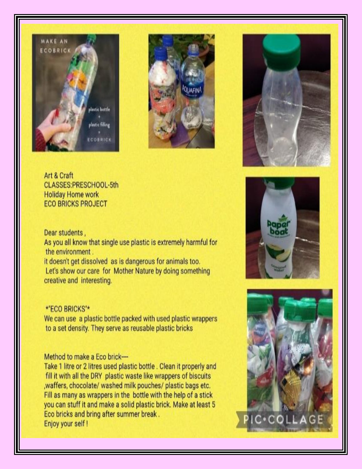





Art & Craft CLASSES:PRESCHOOL-5th **Holiday Home work ECO BRICKS PROJECT** 

### Dear students,

As you all know that single use plastic is extremely harmful for the environment.

it doesn't get dissolved as is dangerous for animals too. Let's show our care for Mother Nature by doing something creative and interesting.

#### **\*"ECO BRICKS"\***

We can use a plastic bottle packed with used plastic wrappers to a set density. They serve as reusable plastic bricks

### Method to make a Eco brick----

Take 1 litre or 2 litres used plastic bottle. Clean it properly and fill it with all the DRY plastic waste like wrappers of biscuits ,waffers, chocolate/ washed milk pouches/ plastic bags etc. Fill as many as wrappers in the bottle with the help of a stick you can stuff it and make a solid plastic brick. Make at least 5 Eco bricks and bring after summer break. Enjoy your self!



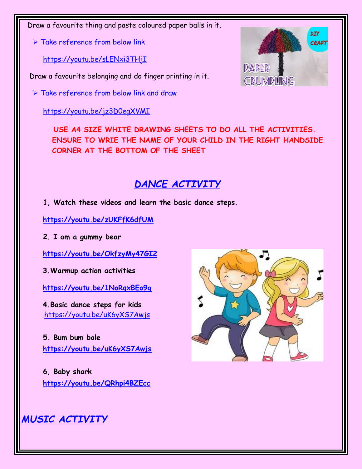Draw a favourite thing and paste coloured paper balls in it.

 $\triangleright$  Take reference from below link

https://youtu.be/sLENxi3THjI

Draw a favourite belonging and do finger printing in it.

 $\triangleright$  Take reference from below link and draw

<https://youtu.be/jz3D0egXVMI>

**USE A4 SIZE WHITE DRAWING SHEETS TO DO ALL THE ACTIVITIES. ENSURE TO WRIE THE NAME OF YOUR CHILD IN THE RIGHT HANDSIDE CORNER AT THE BOTTOM OF THE SHEET**

# *DANCE ACTIVITY*

 **1, Watch these videos and learn the basic dance steps.** 

**https://youtu.be/zUKFfK6dfUM**

**2. I am a gummy bear** 

**<https://youtu.be/OkfzyMy47GI2>**

**3.Warmup action activities**

**<https://youtu.be/1NoRqxBEo9g>**

**4.Basic dance steps for kids** <https://youtu.be/uK6yXS7Awjs>

 **5. Bum bum bole <https://youtu.be/uK6yXS7Awjs>**

 **6, Baby shark <https://youtu.be/QRhpi4BZEcc>**





*MUSIC ACTIVITY*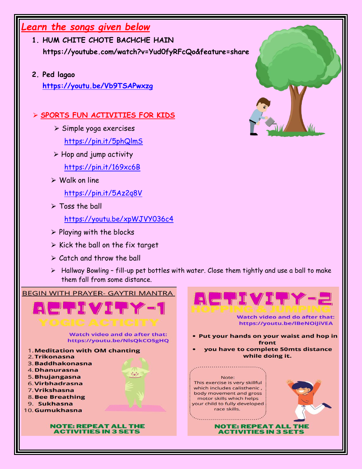## *Learn the songs given below*

- **1. HUM CHITE CHOTE BACHCHE HAIN https://youtube.com/watch?v=Yud0fyRFcQo&feature=share**
- **2. Ped lagao <https://youtu.be/Vb9TSAPwxzg>**

### ⮚ **SPORTS FUN ACTIVITIES FOR KIDS**

- ⮚ Simple yoga exercises
	- https://pin.it/5phQlmS
- $\triangleright$  Hop and jump activity https://pin.it/169xc6B
- $\triangleright$  Walk on line.

<https://pin.it/5Az2q8V>

 $\triangleright$  Toss the ball

https://youtu.be/xpWJVY036c4

- $\triangleright$  Playing with the blocks
- $\triangleright$  Kick the ball on the fix target
- $\geq$  Catch and throw the ball
- ➢ Hallway Bowling fill-up pet bottles with water. Close them tightly and use a ball to make them fall from some distance.





front